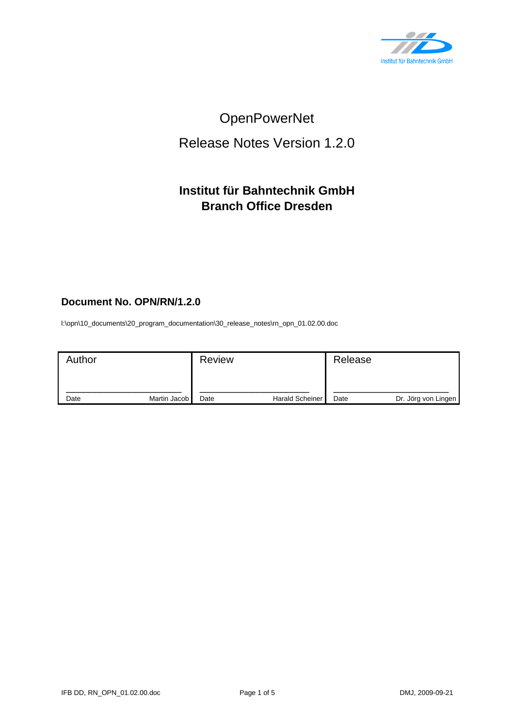

# OpenPowerNet

# Release Notes Version 1.2.0

## **Institut für Bahntechnik GmbH Branch Office Dresden**

### **Document No. OPN/RN/1.2.0**

l:\opn\10\_documents\20\_program\_documentation\30\_release\_notes\rn\_opn\_01.02.00.doc

| Author |              | <b>Review</b> |                        | Release |                     |
|--------|--------------|---------------|------------------------|---------|---------------------|
| Date   | Martin Jacob | Date          | <b>Harald Scheiner</b> | Date    | Dr. Jörg von Lingen |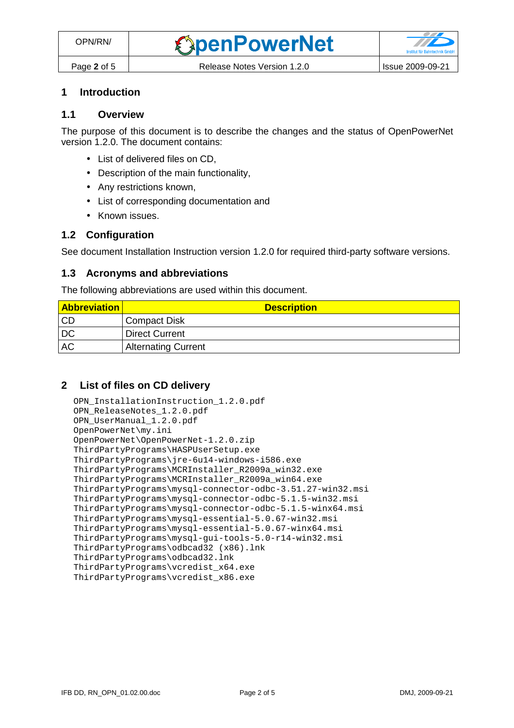## **1 Introduction**

#### **1.1 Overview**

The purpose of this document is to describe the changes and the status of OpenPowerNet version 1.2.0. The document contains:

- List of delivered files on CD,
- Description of the main functionality,
- Any restrictions known,
- List of corresponding documentation and
- Known issues.

#### **1.2 Configuration**

See document Installation Instruction version 1.2.0 for required third-party software versions.

#### **1.3 Acronyms and abbreviations**

The following abbreviations are used within this document.

| <b>Abbreviation</b> | <b>Description</b>         |
|---------------------|----------------------------|
| <b>CD</b>           | <b>Compact Disk</b>        |
| <b>DC</b>           | <b>Direct Current</b>      |
| <b>AC</b>           | <b>Alternating Current</b> |

#### **2 List of files on CD delivery**

```
OPN_InstallationInstruction_1.2.0.pdf 
OPN_ReleaseNotes_1.2.0.pdf 
OPN_UserManual_1.2.0.pdf 
OpenPowerNet\my.ini 
OpenPowerNet\OpenPowerNet-1.2.0.zip 
ThirdPartyPrograms\HASPUserSetup.exe 
ThirdPartyPrograms\jre-6u14-windows-i586.exe 
ThirdPartyPrograms\MCRInstaller_R2009a_win32.exe 
ThirdPartyPrograms\MCRInstaller_R2009a_win64.exe 
ThirdPartyPrograms\mysql-connector-odbc-3.51.27-win32.msi 
ThirdPartyPrograms\mysql-connector-odbc-5.1.5-win32.msi 
ThirdPartyPrograms\mysql-connector-odbc-5.1.5-winx64.msi 
ThirdPartyPrograms\mysql-essential-5.0.67-win32.msi
ThirdPartyPrograms\mysql-essential-5.0.67-winx64.msi 
ThirdPartyPrograms\mysql-gui-tools-5.0-r14-win32.msi 
ThirdPartyPrograms\odbcad32 (x86).lnk 
ThirdPartyPrograms\odbcad32.lnk 
ThirdPartyPrograms\vcredist_x64.exe 
ThirdPartyPrograms\vcredist_x86.exe
```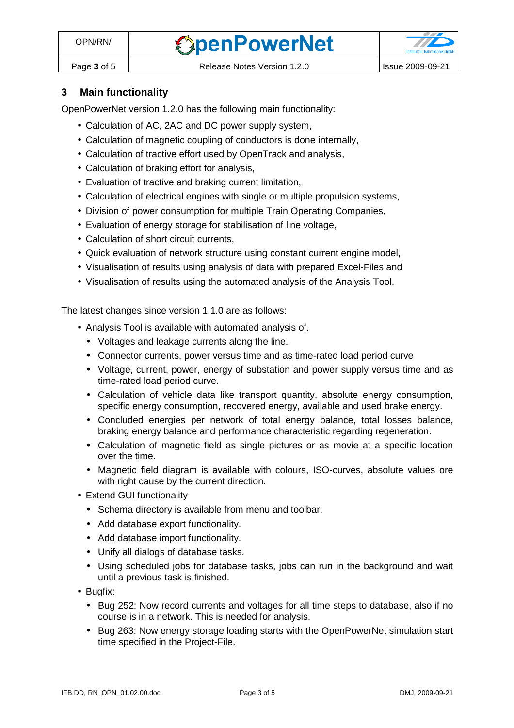

### **3 Main functionality**

OpenPowerNet version 1.2.0 has the following main functionality:

- Calculation of AC, 2AC and DC power supply system,
- Calculation of magnetic coupling of conductors is done internally,
- Calculation of tractive effort used by OpenTrack and analysis,
- Calculation of braking effort for analysis,
- Evaluation of tractive and braking current limitation,
- Calculation of electrical engines with single or multiple propulsion systems,
- Division of power consumption for multiple Train Operating Companies,
- Evaluation of energy storage for stabilisation of line voltage,
- Calculation of short circuit currents,
- Quick evaluation of network structure using constant current engine model,
- Visualisation of results using analysis of data with prepared Excel-Files and
- Visualisation of results using the automated analysis of the Analysis Tool.

The latest changes since version 1.1.0 are as follows:

- Analysis Tool is available with automated analysis of.
	- Voltages and leakage currents along the line.
	- Connector currents, power versus time and as time-rated load period curve
	- Voltage, current, power, energy of substation and power supply versus time and as time-rated load period curve.
	- Calculation of vehicle data like transport quantity, absolute energy consumption, specific energy consumption, recovered energy, available and used brake energy.
	- Concluded energies per network of total energy balance, total losses balance, braking energy balance and performance characteristic regarding regeneration.
	- Calculation of magnetic field as single pictures or as movie at a specific location over the time.
	- Magnetic field diagram is available with colours, ISO-curves, absolute values ore with right cause by the current direction.
- Extend GUI functionality
	- Schema directory is available from menu and toolbar.
	- Add database export functionality.
	- Add database import functionality.
	- Unify all dialogs of database tasks.
	- Using scheduled jobs for database tasks, jobs can run in the background and wait until a previous task is finished.
- Bugfix:
	- Bug 252: Now record currents and voltages for all time steps to database, also if no course is in a network. This is needed for analysis.
	- Bug 263: Now energy storage loading starts with the OpenPowerNet simulation start time specified in the Project-File.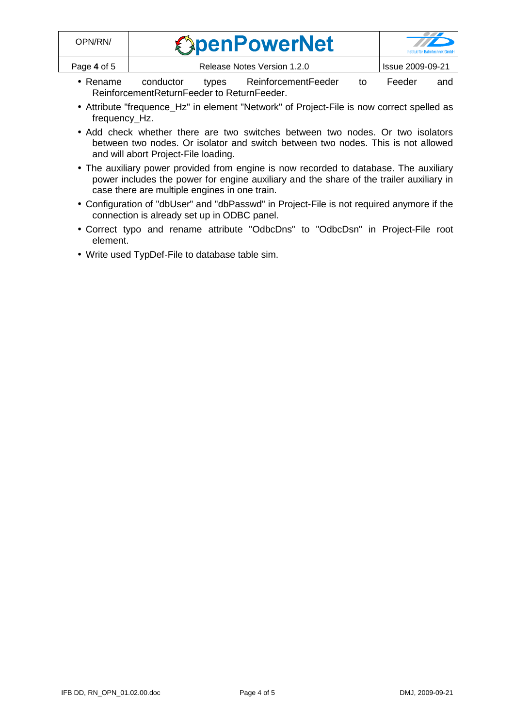| OPN/RN/     | <b><i><u>SpenPowerNet</u></i></b> | $\mathcal{L}$<br><b>Institut für Bahntechnik GmbF</b> |
|-------------|-----------------------------------|-------------------------------------------------------|
| Page 4 of 5 | Release Notes Version 1.2.0       | <b>Issue 2009-09-21</b>                               |

- Rename conductor types ReinforcementFeeder to Feeder and ReinforcementReturnFeeder to ReturnFeeder.
- Attribute "frequence\_Hz" in element "Network" of Project-File is now correct spelled as frequency\_Hz.
- Add check whether there are two switches between two nodes. Or two isolators between two nodes. Or isolator and switch between two nodes. This is not allowed and will abort Project-File loading.
- The auxiliary power provided from engine is now recorded to database. The auxiliary power includes the power for engine auxiliary and the share of the trailer auxiliary in case there are multiple engines in one train.
- Configuration of "dbUser" and "dbPasswd" in Project-File is not required anymore if the connection is already set up in ODBC panel.
- Correct typo and rename attribute "OdbcDns" to "OdbcDsn" in Project-File root element.
- Write used TypDef-File to database table sim.